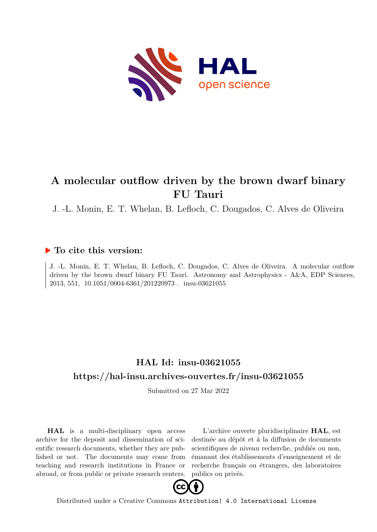

# **A molecular outflow driven by the brown dwarf binary FU Tauri**

J. -L. Monin, E. T. Whelan, B. Lefloch, C. Dougados, C. Alves de Oliveira

### **To cite this version:**

J. -L. Monin, E. T. Whelan, B. Lefloch, C. Dougados, C. Alves de Oliveira. A molecular outflow driven by the brown dwarf binary FU Tauri. Astronomy and Astrophysics - A&A, EDP Sciences, 2013, 551, 10.1051/0004-6361/201220973. insu-03621055

## **HAL Id: insu-03621055 <https://hal-insu.archives-ouvertes.fr/insu-03621055>**

Submitted on 27 Mar 2022

**HAL** is a multi-disciplinary open access archive for the deposit and dissemination of scientific research documents, whether they are published or not. The documents may come from teaching and research institutions in France or abroad, or from public or private research centers.

L'archive ouverte pluridisciplinaire **HAL**, est destinée au dépôt et à la diffusion de documents scientifiques de niveau recherche, publiés ou non, émanant des établissements d'enseignement et de recherche français ou étrangers, des laboratoires publics ou privés.



Distributed under a Creative Commons [Attribution| 4.0 International License](http://creativecommons.org/licenses/by/4.0/)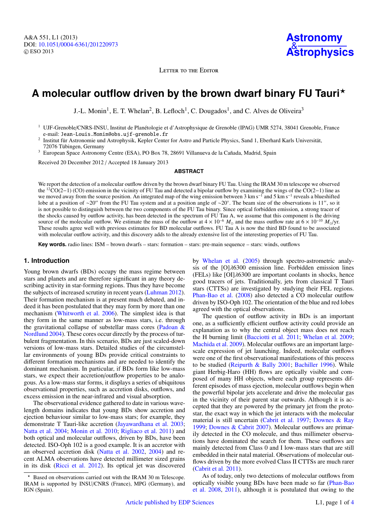LETTER TO THE EDITOR

## **A molecular outflow driven by the brown dwarf binary FU Tauri**?

J.-L. Monin<sup>1</sup>, E. T. Whelan<sup>2</sup>, B. Lefloch<sup>1</sup>, C. Dougados<sup>1</sup>, and C. Alves de Oliveira<sup>3</sup>

<sup>1</sup> UJF-Grenoble/CNRS-INSU, Institut de Planétologie et d'Astrophysique de Grenoble (IPAG) UMR 5274, 38041 Grenoble, France e-mail: Jean-Louis.Monin@obs.ujf-grenoble.fr

<sup>2</sup> Institut für Astronomie und Astrophysik, Kepler Center for Astro and Particle Physics, Sand 1, Eberhard Karls Universität, 72076 Tübingen, Germany

<sup>3</sup> European Space Astronomy Centre (ESA), PO Box 78, 28691 Villanueva de la Cañada, Madrid, Spain

Received 20 December 2012 / Accepted 18 January 2013

#### **ABSTRACT**

We report the detection of a molecular outflow driven by the brown dwarf binary FU Tau. Using the IRAM 30 m telescope we observed the <sup>12</sup>CO(2−1) (CO) emission in the vicinity of FU Tau and detected a bipolar outflow by examining the wings of the CO(2−1) line as we moved away from the source position. An integrated map of the wing emission between 3 km s<sup>-1</sup> and 5 km s<sup>-1</sup> reveals a blueshifted lobe at a position of ~20" from the FU Tau system and at a position angle of ~20°. The beam size of the observations is 11", so it is not possible to distinguish between the two components of the FU Tau binary. Since optical forbidden emission, a strong tracer of the shocks caused by outflow activity, has been detected in the spectrum of FU Tau A, we assume that this component is the driving source of the molecular outflow. We estimate the mass of the outflow at  $4 \times 10^{-6}$  *M*<sub>o</sub> and the mass outflow rate at  $6 \times 10^{-10}$  *M*<sub>o</sub>/yr. These results agree well with previous estimates for BD molecular outflows. FU Tau A is now the third BD found to be associated with molecular outflow activity, and this discovery adds to the already extensive list of the interesting properties of FU Tau.

**Key words.** radio lines: ISM – brown dwarfs – stars: formation – stars: pre-main sequence – stars: winds, outflows

#### **1. Introduction**

Young brown dwarfs (BDs) occupy the mass regime between stars and planets and are therefore significant in any theory describing activity in star-forming regions. Thus they have become the subjects of increased scrutiny in recent years (Luhman 2012). Their formation mechanism is at present much debated, and indeed it has been postulated that they may form by more than one mechanism (Whitworth et al. 2006). The simplest idea is that they form in the same manner as low-mass stars, i.e. through the gravitational collapse of substellar mass cores (Padoan & Nordlund 2004). These cores occur directly by the process of turbulent fragmentation. In this scenario, BDs are just scaled-down versions of low-mass stars. Detailed studies of the circumstellar environments of young BDs provide critical constraints to different formation mechanisms and are needed to identify the dominant mechanism. In particular, if BDs form like low-mass stars, we expect their accretion/outflow properties to be analogous. As a low-mass star forms, it displays a series of ubiquitous observational properties, such as accretion disks, outflows, and excess emission in the near-infrared and visual absorption.

The observational evidence gathered to date in various wavelength domains indicates that young BDs show accretion and ejection behaviour similar to low-mass stars; for example, they demonstrate T Tauri-like accretion (Jayawardhana et al. 2003; Natta et al. 2004; Monin et al. 2010; Rigliaco et al. 2011) and both optical and molecular outflows, driven by BDs, have been detected. ISO-Oph 102 is a good example. It is an accretor with an observed accretion disk (Natta et al. 2002, 2004) and recent ALMA observations have detected millimeter sized grains in its disk (Ricci et al. 2012). Its optical jet was discovered by Whelan et al. (2005) through spectro-astrometric analysis of the [O]λ6300 emission line. Forbidden emission lines (FELs) like [OI]λ6300 are important coolants in shocks, hence good tracers of jets. Traditionally, jets from classical T Tauri stars (CTTSs) are investigated by studying their FEL regions. Phan-Bao et al. (2008) also detected a CO molecular outflow driven by ISO-Oph 102. The orientation of the blue and red lobes agreed with the optical observations.

The question of outflow activity in BDs is an important one, as a sufficiently efficient outflow activity could provide an explanation as to why the central object mass does not reach the H burning limit (Bacciotti et al. 2011; Whelan et al. 2009; Machida et al. 2009). Molecular outflows are an important largescale expression of jet launching. Indeed, molecular outflows were one of the first observational manifestations of this process to be studied (Reipurth & Bally 2001; Bachiller 1996). While giant Herbig-Haro (HH) flows are optically visible and composed of many HH objects, where each group represents different episodes of mass ejection, molecular outflows begin when the powerful bipolar jets accelerate and drive the molecular gas in the vicinity of their parent star outwards. Although it is accepted that they are powered by the primary jet from the protostar, the exact way in which the jet interacts with the molecular material is still uncertain (Cabrit et al. 1997; Downes & Ray 1999; Downes & Cabrit 2007). Molecular outflows are primarily detected in the CO molecule, and thus millimeter observations have dominated the search for them. These outflows are mainly detected from Class 0 and I low-mass stars that are still embedded in their natal material. Observations of molecular outflows driven by the more evolved Class II CTTSs are much rarer (Cabrit et al. 2011).

As of today, only two detections of molecular outflows from optically visible young BDs have been made so far (Phan-Bao et al. 2008, 2011), although it is postulated that owing to the

<sup>?</sup> Based on observations carried out with the IRAM 30 m Telescope. IRAM is supported by INSU/CNRS (France), MPG (Germany), and IGN (Spain).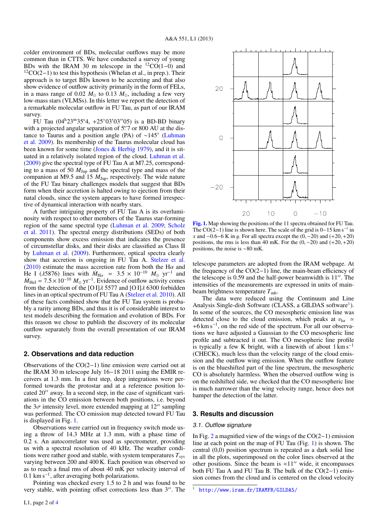colder environment of BDs, molecular outflows may be more common than in CTTS. We have conducted a survey of young BDs with the IRAM 30 m telescope in the  ${}^{12}CO(1-0)$  and  $12CO(2-1)$  to test this hypothesis (Whelan et al., in prep.). Their approach is to target BDs known to be accreting and that also show evidence of outflow activity primarily in the form of FELs, in a mass range of 0.02  $M_{\odot}$  to 0.13  $M_{\odot}$ , including a few very low-mass stars (VLMSs). In this letter we report the detection of a remarkable molecular outflow in FU Tau, as part of our IRAM survey.

FU Tau  $(04^{h}23^{m}35^{s}4, +25^{\circ}03'03''05)$  is a BD-BD binary with a projected angular separation of 5.  $\frac{5!}{7}$  or 800 AU at the distance to Taurus and a position angle (PA) of  $\sim$ 145° (Luhman tance to Taurus and a position angle (PA) of ∼145◦ (Luhman et al. 2009). Its membership of the Taurus molecular cloud has been known for some time (Jones & Herbig 1979), and it is situated in a relatively isolated region of the cloud. Luhman et al. (2009) give the spectral type of FU Tau A at M7.25, corresponding to a mass of 50 *M*Jup and the spectral type and mass of the companion at M9.5 and 15  $M_{\text{Jup}}$ , respectively. The wide nature of the FU Tau binary challenges models that suggest that BDs form when their accretion is halted owing to ejection from their natal clouds, since the system appears to have formed irrespective of dynamical interaction with nearby stars.

A further intriguing property of FU Tau A is its overluminosity with respect to other members of the Taurus star-forming region of the same spectral type (Luhman et al. 2009; Scholz et al. 2011). The spectral energy distributions (SEDs) of both components show excess emission that indicates the presence of circumstellar disks, and their disks are classified as Class II by Luhman et al. (2009). Furthermore, optical spectra clearly show that accretion is ongoing in FU Tau A. Stelzer et al. (2010) estimate the mass accretion rate from both the H $\alpha$  and<br>He I ( $\lambda$ 5876) lines with  $\dot{M}_{\text{Hg}} = 3.5 \times 10^{-10}$   $M_{\odot}$  yr<sup>-1</sup> and He I ( $\lambda$ 5876) lines with  $\dot{M}_{\text{H}\alpha} = 3.5 \times 10^{-10} M_{\odot} \text{ yr}^{-1}$  and  $\dot{M}_{\text{tot}} = 7.5 \times 10^{-10} M_{\odot} \text{ yr}^{-1}$  Evidence of outflow activity comes  $M_{\text{HeI}} = 7.5 \times 10^{-10} M_{\odot} \text{ yr}^{-1}$ . Evidence of outflow activity comes from the detection of the IO II 4.5577 and IO II 4.6300 forbidden from the detection of the [O I] $\lambda$  5577 and [O I] $\lambda$  6300 forbidden lines in an optical spectrum of FU Tau A (Stelzer et al. 2010). All of these facts combined show that the FU Tau system is probably a rarity among BDs, and thus it is of considerable interest to test models describing the formation and evolution of BDs. For this reason we chose to publish the discovery of its molecular outflow separately from the overall presentation of our IRAM survey.

#### **2. Observations and data reduction**

Observations of the CO(2−1) line emission were carried out at the IRAM 30 m telescope July 16−18 2011 using the EMIR receivers at 1.3 mm. In a first step, deep integrations were performed towards the protostar and at a reference position located  $20^{\prime\prime}$  away. In a second step, in the case of significant variations in the CO emission between both positions, i.e. beyond the  $3\sigma$  intensity level, more extended mapping at 12" sampling was performed. The CO emission map detected toward FU Tau is displayed in Fig. 1.

Observations were carried out in frequency switch mode using a throw of 14.3 MHz at 1.3 mm, with a phase time of 0.2 s. An autocorrelator was used as spectrometer, providing us with a spectral resolution of 40 kHz. The weather conditions were rather good and stable, with system temperatures  $T_{\rm sys}$ varying between 200 and 400 K. Each position was observed so as to reach a final rms of about 40 mK per velocity interval of 0.1 km s<sup>−</sup><sup>1</sup> , after averaging both polarizations.

Pointing was checked every 1.5 to 2 h and was found to be very stable, with pointing offset corrections less than 3". The



[Fig. 1.](http://dexter.edpsciences.org/applet.php?DOI=10.1051/0004-6361/201220973&pdf_id=1) Map showing the positions of the 11 spectra obtained for FU Tau. The CO(2–1) line is shown here. The scale of the grid is  $0-15$  km s<sup>-1</sup> in *x* and  $-0.6-6$  K in *y*. For all spectra except the  $(0, -20)$  and  $(+20, +20)$ positions, the rms is less than 40 mK. For the  $(0, -20)$  and  $(+20, +20)$ positions, the noise is ∼80 mK.

telescope parameters are adopted from the IRAM webpage. At the frequency of the CO(2−1) line, the main-beam efficiency of the telescope is  $0.59$  and the half-power beamwidth is  $11<sup>′</sup>$ . The intensities of the measurements are expressed in units of mainbeam brightness temperature  $T_{\text{mb}}$ .

The data were reduced using the Continuum and Line Analysis Single-dish Software (CLASS, a GILDAS software<sup>1</sup>). In some of the sources, the CO mesospheric emission line was detected close to the cloud emission, which peaks at  $v_{\text{lsr}} \approx$ +6 km s<sup>−</sup><sup>1</sup> , on the red side of the spectrum. For all our observations we have adjusted a Gaussian to the CO mesospheric line profile and subtracted it out. The CO mesopheric line profile is typically a few K bright, with a linewith of about  $1 \text{ km s}^{-1}$ (CHECK), much less than the velocity range of the cloud emission and the outflow wing emission. When the outflow feature is on the blueshifted part of the line spectrum, the mesospheric CO is absolutely harmless. When the observed outflow wing is on the redshifted side, we checked that the CO mesospheric line is much narrower than the wing velocity range, hence does not hamper the detection of the latter.

#### **3. Results and discussion**

#### 3.1. Outflow signature

In Fig. 2 a magnified view of the wings of the CO(2−1) emission line at each point on the map of FU Tau (Fig. 1) is shown. The central (0,0) position spectrum is repeated as a dark solid line in all the plots, superimposed on the color lines observed at the other positions. Since the beam is  $\approx 11''$  wide, it encompasses both FU Tau A and FU Tau B. The bulk of the CO(2−1) emission comes from the cloud and is centered on the cloud velocity

<sup>1</sup> <http://www.iram.fr/IRAMFR/GILDAS/>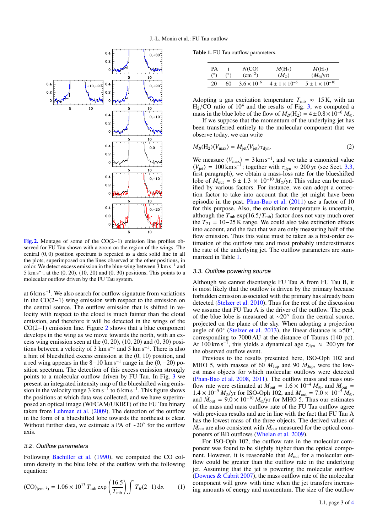

[Fig. 2.](http://dexter.edpsciences.org/applet.php?DOI=10.1051/0004-6361/201220973&pdf_id=2) Montage of some of the CO(2−1) emission line profiles observed for FU Tau shown with a zoom on the region of the wings. The central (0, 0) position spectrum is repeated as a dark solid line in all the plots, superimposed on the lines observed at the other positions, in color. We detect excess emission in the blue-wing between  $\bar{3}$  km s<sup>-1</sup> and  $5 \text{ km s}^{-1}$ , at the (0, 20), (10, 20) and (0, 30) positions. This points to a molecular outflow driven by the FU Tau system.

at 6 km s<sup>−</sup><sup>1</sup> . We also search for outflow signature from variations in the CO(2−1) wing emission with respect to the emission on the central source. The outflow emission that is shifted in velocity with respect to the cloud is much fainter than the cloud emission, and therefore it will be detected in the wings of the CO(2−1) emission line. Figure 2 shows that a blue component develops in the wing as we move towards the north, with an excess wing emission seen at the  $(0, 20)$ ,  $(10, 20)$  and  $(0, 30)$  positions between a velocity of 3 km s<sup>-1</sup> and 5 km s<sup>-1</sup>. There is also a hint of blueshifted excess emission at the (0, 10) position, and a red wing appears in the  $8-10 \text{ km s}^{-1}$  range in the  $(0, -20)$  position spectrum. The detection of this excess emission strongly sition spectrum. The detection of this excess emission strongly points to a molecular outflow driven by FU Tau. In Fig. 3 we present an integrated intensity map of the blueshifted wing emission in the velocity range 3 km s<sup>-1</sup> to 6 km s<sup>-1</sup>. This figure shows the positions at which data was collected, and we have superimposed an optical image (WFCAM/UKIRT) of the FU Tau binary taken from Luhman et al. (2009). The detection of the outflow in the form of a blueshifted lobe towards the northeast is clear. Without further data, we estimate a PA of ~20° for the outflow axis.

#### 3.2. Outflow parameters

Following Bachiller et al. (1990), we computed the CO column density in the blue lobe of the outflow with the following equation:

$$
(\text{CO})_{\text{(cm}^{-2})} = 1.06 \times 10^{13} \, T_{\text{mb}} \exp\left(\frac{16.5}{T_{\text{mb}}}\right) \int T_R(2-1) \, \text{d}v. \tag{1}
$$

Table 1. FU Tau outflow parameters.

| PA         | $(^\circ)$ | N(CO)                | $M(H_2)$                 | $M(H_2)$                  |
|------------|------------|----------------------|--------------------------|---------------------------|
| $(^\circ)$ |            | $(cm^{-2})$          | $(M_{\odot})$            | $(M_{\odot}/yr)$          |
| 20         | 60         | $3.6 \times 10^{16}$ | $4 \pm 1 \times 10^{-6}$ | $5 \pm 1 \times 10^{-10}$ |

Adopting a gas excitation temperature  $T_{\text{mb}} \approx 15 \text{ K}$ , with an  $\text{H}_2/\text{CO}$  ratio of 10<sup>4</sup> and the results of Fig. 3, we computed a mass in the blue lobe of the flow of  $M_p(\text{H}_2) = 4 + 0.8 \times 10^{-6} M_p$ mass in the blue lobe of the flow of  $M_B(H_2) = 4 \pm 0.8 \times 10^{-6} M_{\odot}$ .

If we suppose that the momentum of the underlying jet has been transferred entirely to the molecular component that we observe today, we can write

$$
M_B(\text{H}_2)\langle V_{\text{max}}\rangle = \dot{M}_{\text{jet}}\langle V_{\text{jet}}\rangle \tau_{\text{dyn}}.\tag{2}
$$

We measure  $\langle V_{\text{max}} \rangle = 3 \text{ km s}^{-1}$ , and we take a canonical value  $\langle V_{jet} \rangle = 100 \text{ km s}^{-1}$ ; together with  $\tau_{dyn} \approx 200 \text{ yr}$  (see Sect. 3.3, first paragraph) we obtain a mass-loss rate for the blueshifted first paragraph), we obtain a mass-loss rate for the blueshifted lobe of  $\tilde{M}_{\text{out}} = 6 \pm 1.3 \times 10^{-10} M_{\odot}/\text{yr}$ . This value can be mod-<br>ified by various factors. For instance, we can adopt a correcified by various factors. For instance, we can adopt a correction factor to take into account that the jet might have been episodic in the past. Phan-Bao et al. (2011) use a factor of 10 for this purpose. Also, the excitation temperature is uncertain, although the  $T_{\rm mb}$  exp(16.5/ $T_{\rm mb}$ ) factor does not vary much over the  $T_{21} = 10-25$  K range. We could also take extinction effects into account, and the fact that we are only measuring half of the flow emission. Thus this value must be taken as a first-order estimation of the outflow rate and most probably underestimates the rate of the underlying jet. The outflow parameters are summarized in Table 1.

#### 3.3. Outflow powering source

Although we cannot disentangle FU Tau A from FU Tau B, it is most likely that the outflow is driven by the primary because forbidden emission associated with the primary has already been detected (Stelzer et al. 2010). Thus for the rest of the discussion we assume that FU Tau A is the driver of the outflow. The peak of the blue lobe is measured at  $\sim$ 20" from the central source, projected on the plane of the sky. When adopting a projection angle of 60 $^{\circ}$  (Stelzer et al. 2013), the linear distance is  $\approx$ 50'', corresponding to 7000 AU at the distance of Taurus (140 pc). At 100 km s<sup>-1</sup>, this yields a dynamical age  $\tau_{dyn} \approx 200$  yrs for the observed outflow event the observed outflow event.

Previous to the results presented here, ISO-Oph 102 and MHO 5, with masses of 60  $M_{\text{Jup}}$  and 90  $M_{\text{Jup}}$ , were the lowest mass objects for which molecular outflows were detected (Phan-Bao et al. 2008, 2011). The outflow mass and mass outflow rate were estimated at  $M_{\text{out}} = 1.6 \times 10^{-4} M_{\odot}$ , and  $M_{\text{out}} = 1.4 \times 10^{-9} M_{\odot}/\text{yr}$  for ISO-Oph 102 and  $M_{\text{out}} = 7.0 \times 10^{-5} M_{\odot}$  $1.4 \times 10^{-9} M_{\odot}$ /yr for ISO-Oph 102, and  $M_{\text{out}} = 7.0 \times 10^{-5} M_{\odot}$ , and  $M_{\text{out}} = 9.0 \times 10^{-10} M_{\odot}$ /yr for MHO 5. Thus our estimates of the mass and mass outflow rate of the FU Tau outflow agree of the mass and mass outflow rate of the FU Tau outflow agree with previous results and are in line with the fact that FU Tau A has the lowest mass of the three objects. The derived values of  $\dot{M}_{\text{out}}$  are also consistent with  $\dot{M}_{\text{out}}$  measured for the optical components of BD outflows (Whelan et al. 2009).

For ISO-Oph 102, the outflow rate in the molecular component was found to be slightly higher than the optical component. However, it is reasonable that  $\dot{M}_{\text{out}}$  for a molecular outflow could be greater than the outflow rate in the underlying jet. Assuming that the jet is powering the molecular outflow (Downes & Cabrit 2007), the mass outflow rate of the molecular component will grow with time when the jet transfers increasing amounts of energy and momentum. The size of the outflow